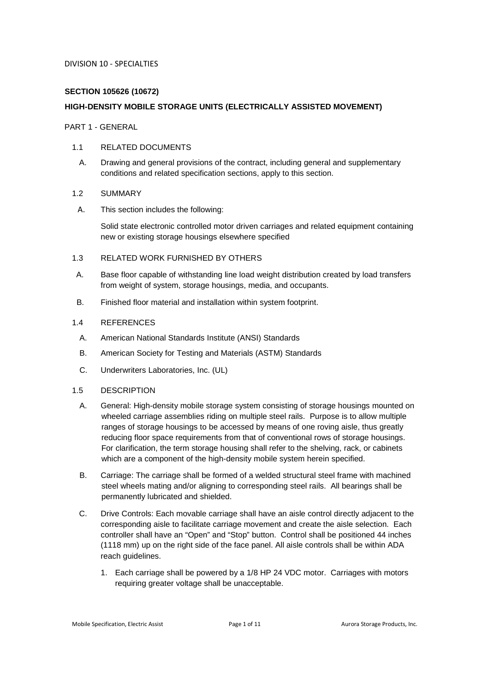# **SECTION 105626 (10672)**

### **HIGH-DENSITY MOBILE STORAGE UNITS (ELECTRICALLY ASSISTED MOVEMENT)**

PART 1 - GENERAL

#### 1.1 RELATED DOCUMENTS

A. Drawing and general provisions of the contract, including general and supplementary conditions and related specification sections, apply to this section.

### 1.2 SUMMARY

A. This section includes the following:

Solid state electronic controlled motor driven carriages and related equipment containing new or existing storage housings elsewhere specified

#### 1.3 RELATED WORK FURNISHED BY OTHERS

- A. Base floor capable of withstanding line load weight distribution created by load transfers from weight of system, storage housings, media, and occupants.
- B. Finished floor material and installation within system footprint.

### 1.4 REFERENCES

- A. American National Standards Institute (ANSI) Standards
- B. American Society for Testing and Materials (ASTM) Standards
- C. Underwriters Laboratories, Inc. (UL)

# 1.5 DESCRIPTION

- A. General: High-density mobile storage system consisting of storage housings mounted on wheeled carriage assemblies riding on multiple steel rails. Purpose is to allow multiple ranges of storage housings to be accessed by means of one roving aisle, thus greatly reducing floor space requirements from that of conventional rows of storage housings. For clarification, the term storage housing shall refer to the shelving, rack, or cabinets which are a component of the high-density mobile system herein specified.
- B. Carriage: The carriage shall be formed of a welded structural steel frame with machined steel wheels mating and/or aligning to corresponding steel rails. All bearings shall be permanently lubricated and shielded.
- C. Drive Controls: Each movable carriage shall have an aisle control directly adjacent to the corresponding aisle to facilitate carriage movement and create the aisle selection. Each controller shall have an "Open" and "Stop" button. Control shall be positioned 44 inches (1118 mm) up on the right side of the face panel. All aisle controls shall be within ADA reach guidelines.
	- 1. Each carriage shall be powered by a 1/8 HP 24 VDC motor. Carriages with motors requiring greater voltage shall be unacceptable.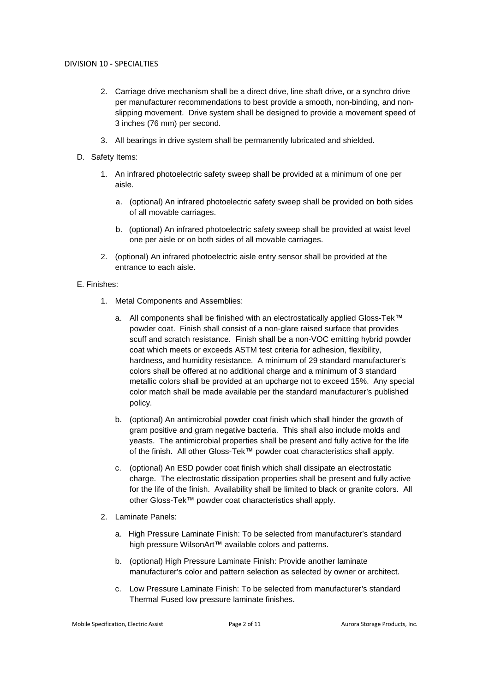- 2. Carriage drive mechanism shall be a direct drive, line shaft drive, or a synchro drive per manufacturer recommendations to best provide a smooth, non-binding, and nonslipping movement. Drive system shall be designed to provide a movement speed of 3 inches (76 mm) per second.
- 3. All bearings in drive system shall be permanently lubricated and shielded.
- D. Safety Items:
	- 1. An infrared photoelectric safety sweep shall be provided at a minimum of one per aisle.
		- a. (optional) An infrared photoelectric safety sweep shall be provided on both sides of all movable carriages.
		- b. (optional) An infrared photoelectric safety sweep shall be provided at waist level one per aisle or on both sides of all movable carriages.
	- 2. (optional) An infrared photoelectric aisle entry sensor shall be provided at the entrance to each aisle.

# E. Finishes:

- 1. Metal Components and Assemblies:
	- a. All components shall be finished with an electrostatically applied Gloss-Tek™ powder coat. Finish shall consist of a non-glare raised surface that provides scuff and scratch resistance. Finish shall be a non-VOC emitting hybrid powder coat which meets or exceeds ASTM test criteria for adhesion, flexibility, hardness, and humidity resistance. A minimum of 29 standard manufacturer's colors shall be offered at no additional charge and a minimum of 3 standard metallic colors shall be provided at an upcharge not to exceed 15%. Any special color match shall be made available per the standard manufacturer's published policy.
	- b. (optional) An antimicrobial powder coat finish which shall hinder the growth of gram positive and gram negative bacteria. This shall also include molds and yeasts. The antimicrobial properties shall be present and fully active for the life of the finish. All other Gloss-Tek™ powder coat characteristics shall apply.
	- c. (optional) An ESD powder coat finish which shall dissipate an electrostatic charge. The electrostatic dissipation properties shall be present and fully active for the life of the finish. Availability shall be limited to black or granite colors. All other Gloss-Tek™ powder coat characteristics shall apply.
- 2. Laminate Panels:
	- a. High Pressure Laminate Finish: To be selected from manufacturer's standard high pressure WilsonArt™ available colors and patterns.
	- b. (optional) High Pressure Laminate Finish: Provide another laminate manufacturer's color and pattern selection as selected by owner or architect.
	- c. Low Pressure Laminate Finish: To be selected from manufacturer's standard Thermal Fused low pressure laminate finishes.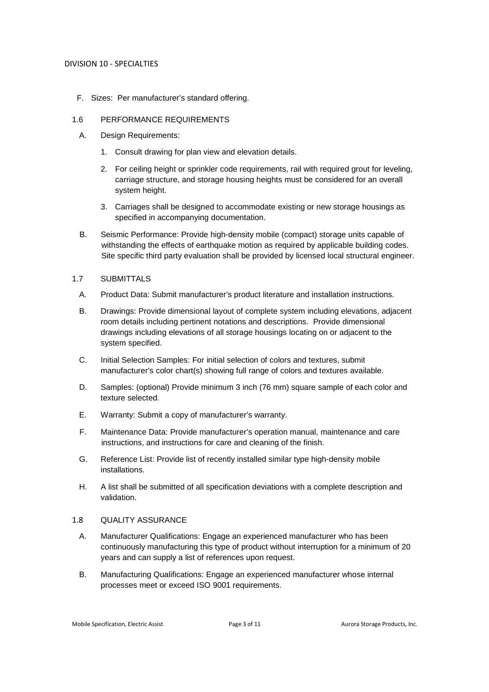F. Sizes: Per manufacturer's standard offering.

### 1.6 PERFORMANCE REQUIREMENTS

- A. Design Requirements:
	- 1. Consult drawing for plan view and elevation details.
	- 2. For ceiling height or sprinkler code requirements, rail with required grout for leveling, carriage structure, and storage housing heights must be considered for an overall system height.
	- 3. Carriages shall be designed to accommodate existing or new storage housings as specified in accompanying documentation.
- B. Seismic Performance: Provide high-density mobile (compact) storage units capable of withstanding the effects of earthquake motion as required by applicable building codes. Site specific third party evaluation shall be provided by licensed local structural engineer.

### 1.7 SUBMITTALS

- A. Product Data: Submit manufacturer's product literature and installation instructions.
- B. Drawings: Provide dimensional layout of complete system including elevations, adjacent room details including pertinent notations and descriptions. Provide dimensional drawings including elevations of all storage housings locating on or adjacent to the system specified.
- C. Initial Selection Samples: For initial selection of colors and textures, submit manufacturer's color chart(s) showing full range of colors and textures available.
- D. Samples: (optional) Provide minimum 3 inch (76 mm) square sample of each color and texture selected.
- E. Warranty: Submit a copy of manufacturer's warranty.
- F. Maintenance Data: Provide manufacturer's operation manual, maintenance and care instructions, and instructions for care and cleaning of the finish.
- G. Reference List: Provide list of recently installed similar type high-density mobile installations.
- H. A list shall be submitted of all specification deviations with a complete description and validation.

### 1.8 QUALITY ASSURANCE

- A. Manufacturer Qualifications: Engage an experienced manufacturer who has been continuously manufacturing this type of product without interruption for a minimum of 20 years and can supply a list of references upon request.
- B. Manufacturing Qualifications: Engage an experienced manufacturer whose internal processes meet or exceed ISO 9001 requirements.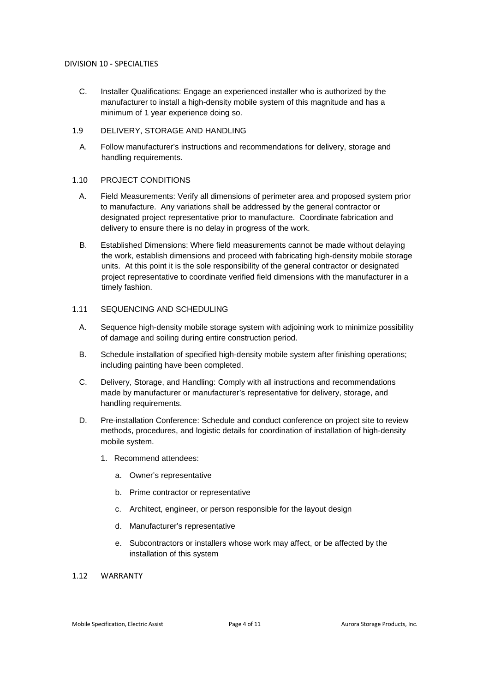C. Installer Qualifications: Engage an experienced installer who is authorized by the manufacturer to install a high-density mobile system of this magnitude and has a minimum of 1 year experience doing so.

### 1.9 DELIVERY, STORAGE AND HANDLING

A. Follow manufacturer's instructions and recommendations for delivery, storage and handling requirements.

### 1.10 PROJECT CONDITIONS

- A. Field Measurements: Verify all dimensions of perimeter area and proposed system prior to manufacture. Any variations shall be addressed by the general contractor or designated project representative prior to manufacture. Coordinate fabrication and delivery to ensure there is no delay in progress of the work.
- B. Established Dimensions: Where field measurements cannot be made without delaying the work, establish dimensions and proceed with fabricating high-density mobile storage units. At this point it is the sole responsibility of the general contractor or designated project representative to coordinate verified field dimensions with the manufacturer in a timely fashion.

### 1.11 SEQUENCING AND SCHEDULING

- A. Sequence high-density mobile storage system with adjoining work to minimize possibility of damage and soiling during entire construction period.
- B. Schedule installation of specified high-density mobile system after finishing operations; including painting have been completed.
- C. Delivery, Storage, and Handling: Comply with all instructions and recommendations made by manufacturer or manufacturer's representative for delivery, storage, and handling requirements.
- D. Pre-installation Conference: Schedule and conduct conference on project site to review methods, procedures, and logistic details for coordination of installation of high-density mobile system.
	- 1. Recommend attendees:
		- a. Owner's representative
		- b. Prime contractor or representative
		- c. Architect, engineer, or person responsible for the layout design
		- d. Manufacturer's representative
		- e. Subcontractors or installers whose work may affect, or be affected by the installation of this system

# 1.12 WARRANTY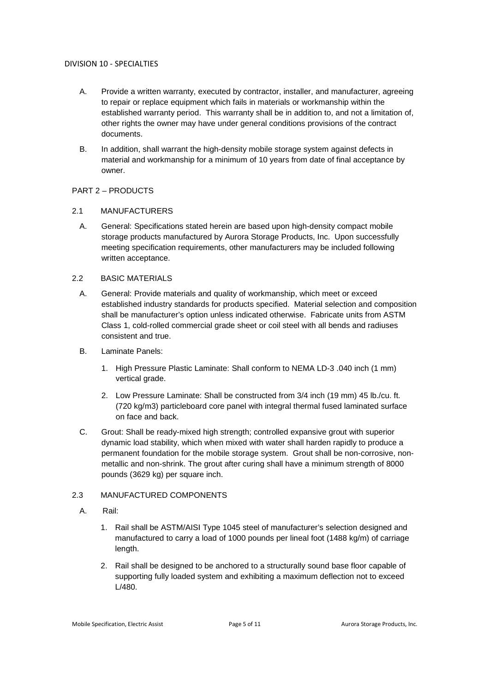- A. Provide a written warranty, executed by contractor, installer, and manufacturer, agreeing to repair or replace equipment which fails in materials or workmanship within the established warranty period. This warranty shall be in addition to, and not a limitation of, other rights the owner may have under general conditions provisions of the contract documents.
- B. In addition, shall warrant the high-density mobile storage system against defects in material and workmanship for a minimum of 10 years from date of final acceptance by owner.

# PART 2 – PRODUCTS

# 2.1 MANUFACTURERS

A. General: Specifications stated herein are based upon high-density compact mobile storage products manufactured by Aurora Storage Products, Inc. Upon successfully meeting specification requirements, other manufacturers may be included following written acceptance.

# 2.2 BASIC MATERIALS

- A. General: Provide materials and quality of workmanship, which meet or exceed established industry standards for products specified. Material selection and composition shall be manufacturer's option unless indicated otherwise. Fabricate units from ASTM Class 1, cold-rolled commercial grade sheet or coil steel with all bends and radiuses consistent and true.
- B. Laminate Panels:
	- 1. High Pressure Plastic Laminate: Shall conform to NEMA LD-3 .040 inch (1 mm) vertical grade.
	- 2. Low Pressure Laminate: Shall be constructed from 3/4 inch (19 mm) 45 lb./cu. ft. (720 kg/m3) particleboard core panel with integral thermal fused laminated surface on face and back.
- C. Grout: Shall be ready-mixed high strength; controlled expansive grout with superior dynamic load stability, which when mixed with water shall harden rapidly to produce a permanent foundation for the mobile storage system. Grout shall be non-corrosive, nonmetallic and non-shrink. The grout after curing shall have a minimum strength of 8000 pounds (3629 kg) per square inch.

# 2.3 MANUFACTURED COMPONENTS

- A. Rail:
	- 1. Rail shall be ASTM/AISI Type 1045 steel of manufacturer's selection designed and manufactured to carry a load of 1000 pounds per lineal foot (1488 kg/m) of carriage length.
	- 2. Rail shall be designed to be anchored to a structurally sound base floor capable of supporting fully loaded system and exhibiting a maximum deflection not to exceed L/480.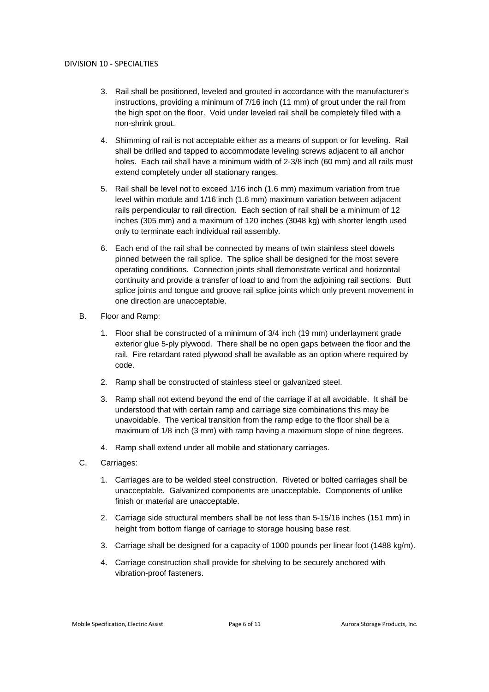- 3. Rail shall be positioned, leveled and grouted in accordance with the manufacturer's instructions, providing a minimum of 7/16 inch (11 mm) of grout under the rail from the high spot on the floor. Void under leveled rail shall be completely filled with a non-shrink grout.
- 4. Shimming of rail is not acceptable either as a means of support or for leveling. Rail shall be drilled and tapped to accommodate leveling screws adjacent to all anchor holes. Each rail shall have a minimum width of 2-3/8 inch (60 mm) and all rails must extend completely under all stationary ranges.
- 5. Rail shall be level not to exceed 1/16 inch (1.6 mm) maximum variation from true level within module and 1/16 inch (1.6 mm) maximum variation between adjacent rails perpendicular to rail direction. Each section of rail shall be a minimum of 12 inches (305 mm) and a maximum of 120 inches (3048 kg) with shorter length used only to terminate each individual rail assembly.
- 6. Each end of the rail shall be connected by means of twin stainless steel dowels pinned between the rail splice. The splice shall be designed for the most severe operating conditions. Connection joints shall demonstrate vertical and horizontal continuity and provide a transfer of load to and from the adjoining rail sections. Butt splice joints and tongue and groove rail splice joints which only prevent movement in one direction are unacceptable.
- B. Floor and Ramp:
	- 1. Floor shall be constructed of a minimum of 3/4 inch (19 mm) underlayment grade exterior glue 5-ply plywood. There shall be no open gaps between the floor and the rail. Fire retardant rated plywood shall be available as an option where required by code.
	- 2. Ramp shall be constructed of stainless steel or galvanized steel.
	- 3. Ramp shall not extend beyond the end of the carriage if at all avoidable. It shall be understood that with certain ramp and carriage size combinations this may be unavoidable. The vertical transition from the ramp edge to the floor shall be a maximum of 1/8 inch (3 mm) with ramp having a maximum slope of nine degrees.
	- 4. Ramp shall extend under all mobile and stationary carriages.
- C. Carriages:
	- 1. Carriages are to be welded steel construction. Riveted or bolted carriages shall be unacceptable. Galvanized components are unacceptable. Components of unlike finish or material are unacceptable.
	- 2. Carriage side structural members shall be not less than 5-15/16 inches (151 mm) in height from bottom flange of carriage to storage housing base rest.
	- 3. Carriage shall be designed for a capacity of 1000 pounds per linear foot (1488 kg/m).
	- 4. Carriage construction shall provide for shelving to be securely anchored with vibration-proof fasteners.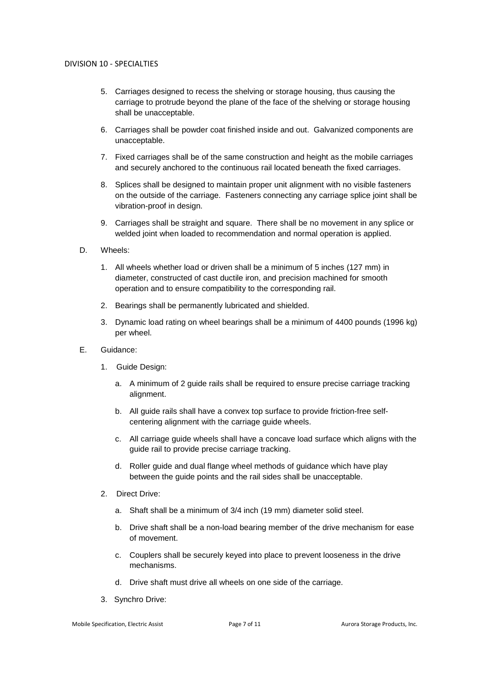- 5. Carriages designed to recess the shelving or storage housing, thus causing the carriage to protrude beyond the plane of the face of the shelving or storage housing shall be unacceptable.
- 6. Carriages shall be powder coat finished inside and out. Galvanized components are unacceptable.
- 7. Fixed carriages shall be of the same construction and height as the mobile carriages and securely anchored to the continuous rail located beneath the fixed carriages.
- 8. Splices shall be designed to maintain proper unit alignment with no visible fasteners on the outside of the carriage. Fasteners connecting any carriage splice joint shall be vibration-proof in design.
- 9. Carriages shall be straight and square. There shall be no movement in any splice or welded joint when loaded to recommendation and normal operation is applied.
- D. Wheels:
	- 1. All wheels whether load or driven shall be a minimum of 5 inches (127 mm) in diameter, constructed of cast ductile iron, and precision machined for smooth operation and to ensure compatibility to the corresponding rail.
	- 2. Bearings shall be permanently lubricated and shielded.
	- 3. Dynamic load rating on wheel bearings shall be a minimum of 4400 pounds (1996 kg) per wheel.
- E. Guidance:
	- 1. Guide Design:
		- a. A minimum of 2 guide rails shall be required to ensure precise carriage tracking alignment.
		- b. All guide rails shall have a convex top surface to provide friction-free selfcentering alignment with the carriage guide wheels.
		- c. All carriage guide wheels shall have a concave load surface which aligns with the guide rail to provide precise carriage tracking.
		- d. Roller guide and dual flange wheel methods of guidance which have play between the guide points and the rail sides shall be unacceptable.
	- 2. Direct Drive:
		- a. Shaft shall be a minimum of 3/4 inch (19 mm) diameter solid steel.
		- b. Drive shaft shall be a non-load bearing member of the drive mechanism for ease of movement.
		- c. Couplers shall be securely keyed into place to prevent looseness in the drive mechanisms.
		- d. Drive shaft must drive all wheels on one side of the carriage.
	- 3. Synchro Drive: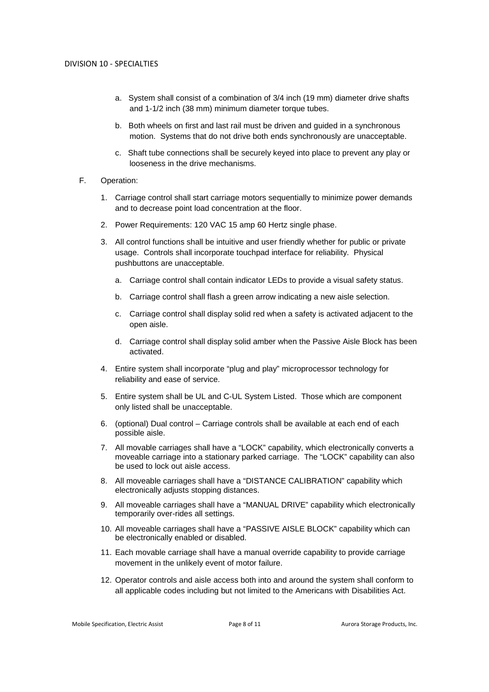- a. System shall consist of a combination of 3/4 inch (19 mm) diameter drive shafts and 1-1/2 inch (38 mm) minimum diameter torque tubes.
- b. Both wheels on first and last rail must be driven and guided in a synchronous motion. Systems that do not drive both ends synchronously are unacceptable.
- c. Shaft tube connections shall be securely keyed into place to prevent any play or looseness in the drive mechanisms.
- F. Operation:
	- 1. Carriage control shall start carriage motors sequentially to minimize power demands and to decrease point load concentration at the floor.
	- 2. Power Requirements: 120 VAC 15 amp 60 Hertz single phase.
	- 3. All control functions shall be intuitive and user friendly whether for public or private usage. Controls shall incorporate touchpad interface for reliability. Physical pushbuttons are unacceptable.
		- a. Carriage control shall contain indicator LEDs to provide a visual safety status.
		- b. Carriage control shall flash a green arrow indicating a new aisle selection.
		- c. Carriage control shall display solid red when a safety is activated adjacent to the open aisle.
		- d. Carriage control shall display solid amber when the Passive Aisle Block has been activated.
	- 4. Entire system shall incorporate "plug and play" microprocessor technology for reliability and ease of service.
	- 5. Entire system shall be UL and C-UL System Listed. Those which are component only listed shall be unacceptable.
	- 6. (optional) Dual control Carriage controls shall be available at each end of each possible aisle.
	- 7. All movable carriages shall have a "LOCK" capability, which electronically converts a moveable carriage into a stationary parked carriage. The "LOCK" capability can also be used to lock out aisle access.
	- 8. All moveable carriages shall have a "DISTANCE CALIBRATION" capability which electronically adjusts stopping distances.
	- 9. All moveable carriages shall have a "MANUAL DRIVE" capability which electronically temporarily over-rides all settings.
	- 10. All moveable carriages shall have a "PASSIVE AISLE BLOCK" capability which can be electronically enabled or disabled.
	- 11. Each movable carriage shall have a manual override capability to provide carriage movement in the unlikely event of motor failure.
	- 12. Operator controls and aisle access both into and around the system shall conform to all applicable codes including but not limited to the Americans with Disabilities Act.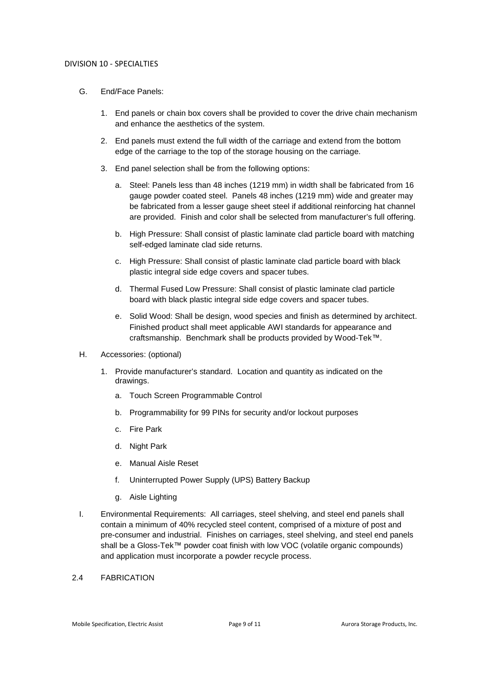- G. End/Face Panels:
	- 1. End panels or chain box covers shall be provided to cover the drive chain mechanism and enhance the aesthetics of the system.
	- 2. End panels must extend the full width of the carriage and extend from the bottom edge of the carriage to the top of the storage housing on the carriage.
	- 3. End panel selection shall be from the following options:
		- a. Steel: Panels less than 48 inches (1219 mm) in width shall be fabricated from 16 gauge powder coated steel. Panels 48 inches (1219 mm) wide and greater may be fabricated from a lesser gauge sheet steel if additional reinforcing hat channel are provided. Finish and color shall be selected from manufacturer's full offering.
		- b. High Pressure: Shall consist of plastic laminate clad particle board with matching self-edged laminate clad side returns.
		- c. High Pressure: Shall consist of plastic laminate clad particle board with black plastic integral side edge covers and spacer tubes.
		- d. Thermal Fused Low Pressure: Shall consist of plastic laminate clad particle board with black plastic integral side edge covers and spacer tubes.
		- e. Solid Wood: Shall be design, wood species and finish as determined by architect. Finished product shall meet applicable AWI standards for appearance and craftsmanship. Benchmark shall be products provided by Wood-Tek™.
- H. Accessories: (optional)
	- 1. Provide manufacturer's standard. Location and quantity as indicated on the drawings.
		- a. Touch Screen Programmable Control
		- b. Programmability for 99 PINs for security and/or lockout purposes
		- c. Fire Park
		- d. Night Park
		- e. Manual Aisle Reset
		- f. Uninterrupted Power Supply (UPS) Battery Backup
		- g. Aisle Lighting
- I. Environmental Requirements: All carriages, steel shelving, and steel end panels shall contain a minimum of 40% recycled steel content, comprised of a mixture of post and pre-consumer and industrial. Finishes on carriages, steel shelving, and steel end panels shall be a Gloss-Tek™ powder coat finish with low VOC (volatile organic compounds) and application must incorporate a powder recycle process.

### 2.4 FABRICATION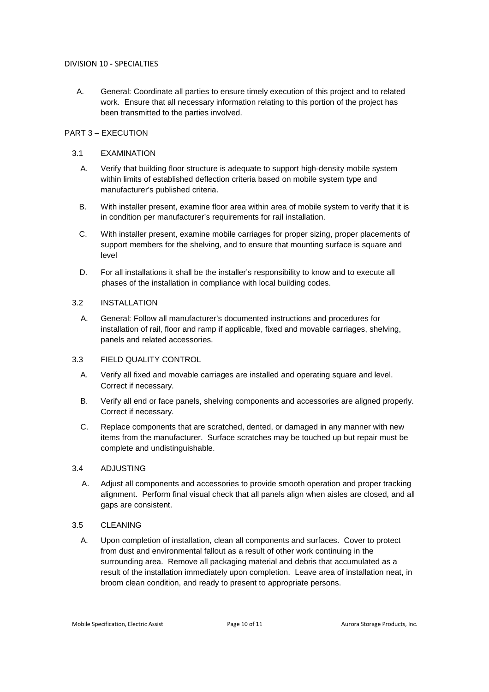A. General: Coordinate all parties to ensure timely execution of this project and to related work. Ensure that all necessary information relating to this portion of the project has been transmitted to the parties involved.

# PART 3 – EXECUTION

# 3.1 EXAMINATION

- A. Verify that building floor structure is adequate to support high-density mobile system within limits of established deflection criteria based on mobile system type and manufacturer's published criteria.
- B. With installer present, examine floor area within area of mobile system to verify that it is in condition per manufacturer's requirements for rail installation.
- C. With installer present, examine mobile carriages for proper sizing, proper placements of support members for the shelving, and to ensure that mounting surface is square and level
- D. For all installations it shall be the installer's responsibility to know and to execute all phases of the installation in compliance with local building codes.

### 3.2 INSTALLATION

A. General: Follow all manufacturer's documented instructions and procedures for installation of rail, floor and ramp if applicable, fixed and movable carriages, shelving, panels and related accessories.

# 3.3 FIELD QUALITY CONTROL

- A. Verify all fixed and movable carriages are installed and operating square and level. Correct if necessary.
- B. Verify all end or face panels, shelving components and accessories are aligned properly. Correct if necessary.
- C. Replace components that are scratched, dented, or damaged in any manner with new items from the manufacturer. Surface scratches may be touched up but repair must be complete and undistinguishable.

# 3.4 ADJUSTING

A. Adjust all components and accessories to provide smooth operation and proper tracking alignment. Perform final visual check that all panels align when aisles are closed, and all gaps are consistent.

# 3.5 CLEANING

A. Upon completion of installation, clean all components and surfaces. Cover to protect from dust and environmental fallout as a result of other work continuing in the surrounding area. Remove all packaging material and debris that accumulated as a result of the installation immediately upon completion. Leave area of installation neat, in broom clean condition, and ready to present to appropriate persons.